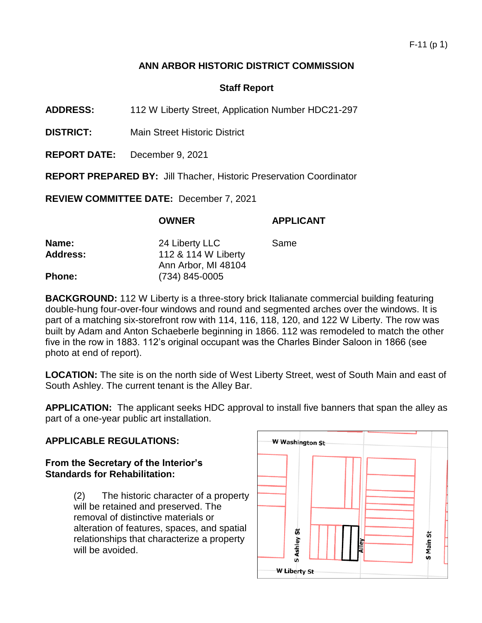### F-11 (p 1)

## **ANN ARBOR HISTORIC DISTRICT COMMISSION**

## **Staff Report**

**ADDRESS:** 112 W Liberty Street, Application Number HDC21-297

**DISTRICT:** Main Street Historic District

**REPORT DATE:** December 9, 2021

**REPORT PREPARED BY:** Jill Thacher, Historic Preservation Coordinator

**REVIEW COMMITTEE DATE:** December 7, 2021

|                 | <b>OWNER</b>        | <b>APPLICANT</b> |
|-----------------|---------------------|------------------|
| <b>Name:</b>    | 24 Liberty LLC      | Same             |
| <b>Address:</b> | 112 & 114 W Liberty |                  |
|                 | Ann Arbor, MI 48104 |                  |
| Phone:          | $(734)$ 845-0005    |                  |

**BACKGROUND:** 112 W Liberty is a three-story brick Italianate commercial building featuring double-hung four-over-four windows and round and segmented arches over the windows. It is part of a matching six-storefront row with 114, 116, 118, 120, and 122 W Liberty. The row was built by Adam and Anton Schaeberle beginning in 1866. 112 was remodeled to match the other five in the row in 1883. 112's original occupant was the Charles Binder Saloon in 1866 (see photo at end of report).

**LOCATION:** The site is on the north side of West Liberty Street, west of South Main and east of South Ashley. The current tenant is the Alley Bar.

**APPLICATION:** The applicant seeks HDC approval to install five banners that span the alley as part of a one-year public art installation.

#### **APPLICABLE REGULATIONS:**

#### **From the Secretary of the Interior's Standards for Rehabilitation:**

(2) The historic character of a property will be retained and preserved. The removal of distinctive materials or alteration of features, spaces, and spatial relationships that characterize a property will be avoided.

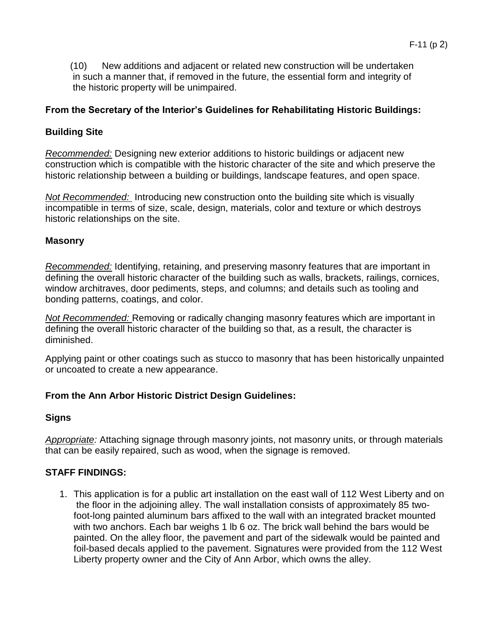(10) New additions and adjacent or related new construction will be undertaken in such a manner that, if removed in the future, the essential form and integrity of the historic property will be unimpaired.

## **From the Secretary of the Interior's Guidelines for Rehabilitating Historic Buildings:**

## **Building Site**

*Recommended:* Designing new exterior additions to historic buildings or adjacent new construction which is compatible with the historic character of the site and which preserve the historic relationship between a building or buildings, landscape features, and open space.

*Not Recommended:* Introducing new construction onto the building site which is visually incompatible in terms of size, scale, design, materials, color and texture or which destroys historic relationships on the site.

#### **Masonry**

*Recommended:* Identifying, retaining, and preserving masonry features that are important in defining the overall historic character of the building such as walls, brackets, railings, cornices, window architraves, door pediments, steps, and columns; and details such as tooling and bonding patterns, coatings, and color.

*Not Recommended:* Removing or radically changing masonry features which are important in defining the overall historic character of the building so that, as a result, the character is diminished.

Applying paint or other coatings such as stucco to masonry that has been historically unpainted or uncoated to create a new appearance.

## **From the Ann Arbor Historic District Design Guidelines:**

## **Signs**

*Appropriate:* Attaching signage through masonry joints, not masonry units, or through materials that can be easily repaired, such as wood, when the signage is removed.

## **STAFF FINDINGS:**

1. This application is for a public art installation on the east wall of 112 West Liberty and on the floor in the adjoining alley. The wall installation consists of approximately 85 twofoot-long painted aluminum bars affixed to the wall with an integrated bracket mounted with two anchors. Each bar weighs 1 lb 6 oz. The brick wall behind the bars would be painted. On the alley floor, the pavement and part of the sidewalk would be painted and foil-based decals applied to the pavement. Signatures were provided from the 112 West Liberty property owner and the City of Ann Arbor, which owns the alley.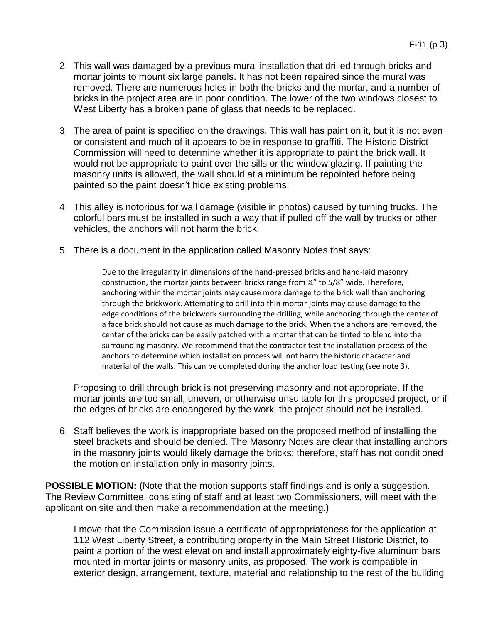- 2. This wall was damaged by a previous mural installation that drilled through bricks and mortar joints to mount six large panels. It has not been repaired since the mural was removed. There are numerous holes in both the bricks and the mortar, and a number of bricks in the project area are in poor condition. The lower of the two windows closest to West Liberty has a broken pane of glass that needs to be replaced.
- 3. The area of paint is specified on the drawings. This wall has paint on it, but it is not even or consistent and much of it appears to be in response to graffiti. The Historic District Commission will need to determine whether it is appropriate to paint the brick wall. It would not be appropriate to paint over the sills or the window glazing. If painting the masonry units is allowed, the wall should at a minimum be repointed before being painted so the paint doesn't hide existing problems.
- 4. This alley is notorious for wall damage (visible in photos) caused by turning trucks. The colorful bars must be installed in such a way that if pulled off the wall by trucks or other vehicles, the anchors will not harm the brick.
- 5. There is a document in the application called Masonry Notes that says:

Due to the irregularity in dimensions of the hand-pressed bricks and hand-laid masonry construction, the mortar joints between bricks range from ¼" to 5/8" wide. Therefore, anchoring within the mortar joints may cause more damage to the brick wall than anchoring through the brickwork. Attempting to drill into thin mortar joints may cause damage to the edge conditions of the brickwork surrounding the drilling, while anchoring through the center of a face brick should not cause as much damage to the brick. When the anchors are removed, the center of the bricks can be easily patched with a mortar that can be tinted to blend into the surrounding masonry. We recommend that the contractor test the installation process of the anchors to determine which installation process will not harm the historic character and material of the walls. This can be completed during the anchor load testing (see note 3).

Proposing to drill through brick is not preserving masonry and not appropriate. If the mortar joints are too small, uneven, or otherwise unsuitable for this proposed project, or if the edges of bricks are endangered by the work, the project should not be installed.

6. Staff believes the work is inappropriate based on the proposed method of installing the steel brackets and should be denied. The Masonry Notes are clear that installing anchors in the masonry joints would likely damage the bricks; therefore, staff has not conditioned the motion on installation only in masonry joints.

**POSSIBLE MOTION:** (Note that the motion supports staff findings and is only a suggestion. The Review Committee, consisting of staff and at least two Commissioners, will meet with the applicant on site and then make a recommendation at the meeting.)

I move that the Commission issue a certificate of appropriateness for the application at 112 West Liberty Street, a contributing property in the Main Street Historic District, to paint a portion of the west elevation and install approximately eighty-five aluminum bars mounted in mortar joints or masonry units, as proposed. The work is compatible in exterior design, arrangement, texture, material and relationship to the rest of the building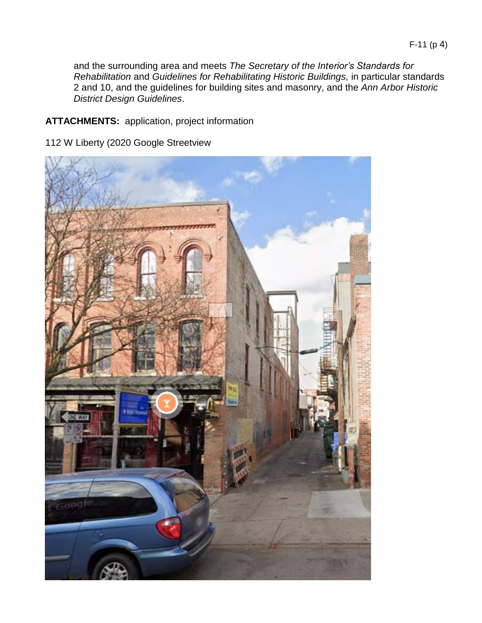and the surrounding area and meets *The Secretary of the Interior's Standards for Rehabilitation* and *Guidelines for Rehabilitating Historic Buildings,* in particular standards 2 and 10, and the guidelines for building sites and masonry, and the *Ann Arbor Historic District Design Guidelines*.

# **ATTACHMENTS:** application, project information

112 W Liberty (2020 Google Streetview

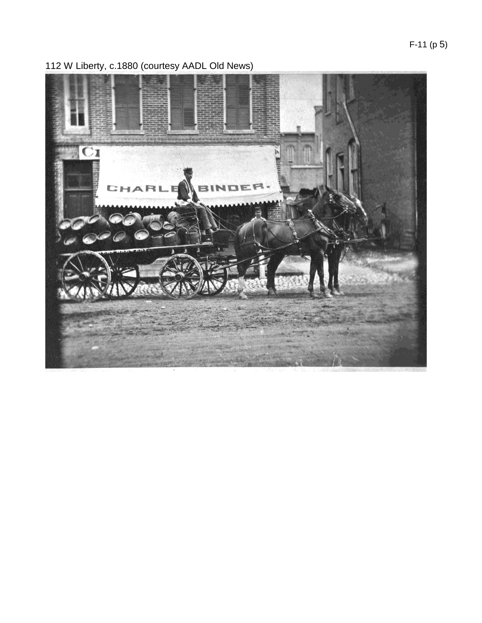F-11 (p 5)



112 W Liberty, c.1880 (courtesy AADL Old News)